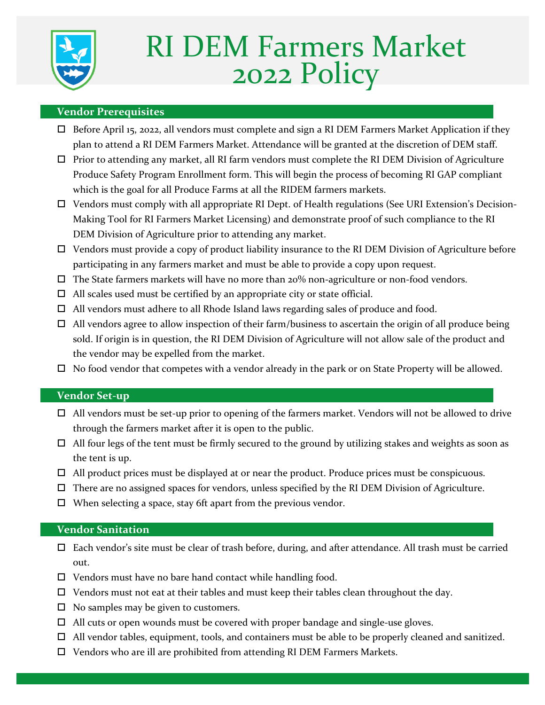

# RI DEM Farmers Market 2022 Policy

## **Vendor Prerequisites**

- $\Box$  Before April 15, 2022, all vendors must complete and sign a RI DEM Farmers Market Application if they plan to attend a RI DEM Farmers Market. Attendance will be granted at the discretion of DEM staff.
- $\Box$  Prior to attending any market, all RI farm vendors must complete the RI DEM Division of Agriculture Produce Safety Program Enrollment form. This will begin the process of becoming RI GAP compliant which is the goal for all Produce Farms at all the RIDEM farmers markets.
- Vendors must comply with all appropriate RI Dept. of Health regulations (See URI Extension's Decision-Making Tool for RI Farmers Market Licensing) and demonstrate proof of such compliance to the RI DEM Division of Agriculture prior to attending any market.
- Vendors must provide a copy of product liability insurance to the RI DEM Division of Agriculture before participating in any farmers market and must be able to provide a copy upon request.
- $\Box$  The State farmers markets will have no more than 20% non-agriculture or non-food vendors.
- $\Box$  All scales used must be certified by an appropriate city or state official.
- $\Box$  All vendors must adhere to all Rhode Island laws regarding sales of produce and food.
- $\Box$  All vendors agree to allow inspection of their farm/business to ascertain the origin of all produce being sold. If origin is in question, the RI DEM Division of Agriculture will not allow sale of the product and the vendor may be expelled from the market.
- $\Box$  No food vendor that competes with a vendor already in the park or on State Property will be allowed.

## **Vendor Set-up**

- $\Box$  All vendors must be set-up prior to opening of the farmers market. Vendors will not be allowed to drive through the farmers market after it is open to the public.
- $\Box$  All four legs of the tent must be firmly secured to the ground by utilizing stakes and weights as soon as the tent is up.
- $\Box$  All product prices must be displayed at or near the product. Produce prices must be conspicuous.
- $\Box$  There are no assigned spaces for vendors, unless specified by the RI DEM Division of Agriculture.
- $\Box$  When selecting a space, stay 6ft apart from the previous vendor.

### **Vendor Sanitation**

- $\Box$  Each vendor's site must be clear of trash before, during, and after attendance. All trash must be carried out.
- $\Box$  Vendors must have no bare hand contact while handling food.
- $\Box$  Vendors must not eat at their tables and must keep their tables clean throughout the day.
- $\Box$  No samples may be given to customers.
- $\Box$  All cuts or open wounds must be covered with proper bandage and single-use gloves.
- $\Box$  All vendor tables, equipment, tools, and containers must be able to be properly cleaned and sanitized.
- □ Vendors who are ill are prohibited from attending RI DEM Farmers Markets.